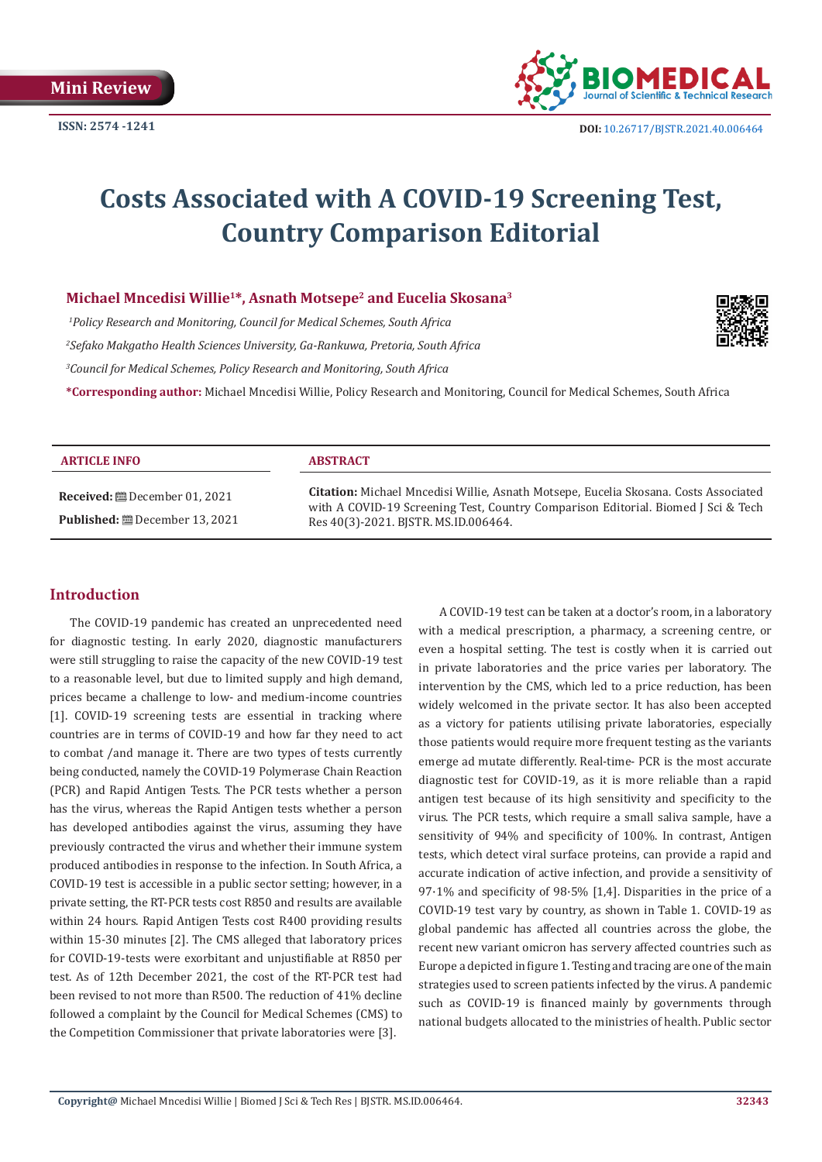

# **Costs Associated with A COVID-19 Screening Test, Country Comparison Editorial**

## **Michael Mncedisi Willie1\*, Asnath Motsepe2 and Eucelia Skosana3**

*1 Policy Research and Monitoring, Council for Medical Schemes, South Africa 2 Sefako Makgatho Health Sciences University, Ga-Rankuwa, Pretoria, South Africa 3 Council for Medical Schemes, Policy Research and Monitoring, South Africa*



**\*Corresponding author:** Michael Mncedisi Willie, Policy Research and Monitoring, Council for Medical Schemes, South Africa

| <b>ARTICLE INFO</b>                   | <b>ABSTRACT</b>                                                                                                                                                                                                   |  |  |
|---------------------------------------|-------------------------------------------------------------------------------------------------------------------------------------------------------------------------------------------------------------------|--|--|
| <b>Published:</b> ■ December 13, 2021 | Citation: Michael Mncedisi Willie, Asnath Motsepe, Eucelia Skosana. Costs Associated<br>with A COVID-19 Screening Test, Country Comparison Editorial. Biomed J Sci & Tech<br>Res 40(3)-2021. BISTR. MS.ID.006464. |  |  |

# **Introduction**

The COVID-19 pandemic has created an unprecedented need for diagnostic testing. In early 2020, diagnostic manufacturers were still struggling to raise the capacity of the new COVID-19 test to a reasonable level, but due to limited supply and high demand, prices became a challenge to low- and medium-income countries [1]. COVID-19 screening tests are essential in tracking where countries are in terms of COVID-19 and how far they need to act to combat /and manage it. There are two types of tests currently being conducted, namely the COVID-19 Polymerase Chain Reaction (PCR) and Rapid Antigen Tests. The PCR tests whether a person has the virus, whereas the Rapid Antigen tests whether a person has developed antibodies against the virus, assuming they have previously contracted the virus and whether their immune system produced antibodies in response to the infection. In South Africa, a COVID-19 test is accessible in a public sector setting; however, in a private setting, the RT-PCR tests cost R850 and results are available within 24 hours. Rapid Antigen Tests cost R400 providing results within 15-30 minutes [2]. The CMS alleged that laboratory prices for COVID-19-tests were exorbitant and unjustifiable at R850 per test. As of 12th December 2021, the cost of the RT-PCR test had been revised to not more than R500. The reduction of 41% decline followed a complaint by the Council for Medical Schemes (CMS) to the Competition Commissioner that private laboratories were [3].

A COVID-19 test can be taken at a doctor's room, in a laboratory with a medical prescription, a pharmacy, a screening centre, or even a hospital setting. The test is costly when it is carried out in private laboratories and the price varies per laboratory. The intervention by the CMS, which led to a price reduction, has been widely welcomed in the private sector. It has also been accepted as a victory for patients utilising private laboratories, especially those patients would require more frequent testing as the variants emerge ad mutate differently. Real-time- PCR is the most accurate diagnostic test for COVID-19, as it is more reliable than a rapid antigen test because of its high sensitivity and specificity to the virus. The PCR tests, which require a small saliva sample, have a sensitivity of 94% and specificity of 100%. In contrast, Antigen tests, which detect viral surface proteins, can provide a rapid and accurate indication of active infection, and provide a sensitivity of 97·1% and specificity of 98·5% [1,4]. Disparities in the price of a COVID-19 test vary by country, as shown in Table 1. COVID-19 as global pandemic has affected all countries across the globe, the recent new variant omicron has servery affected countries such as Europe a depicted in figure 1. Testing and tracing are one of the main strategies used to screen patients infected by the virus. A pandemic such as COVID-19 is financed mainly by governments through national budgets allocated to the ministries of health. Public sector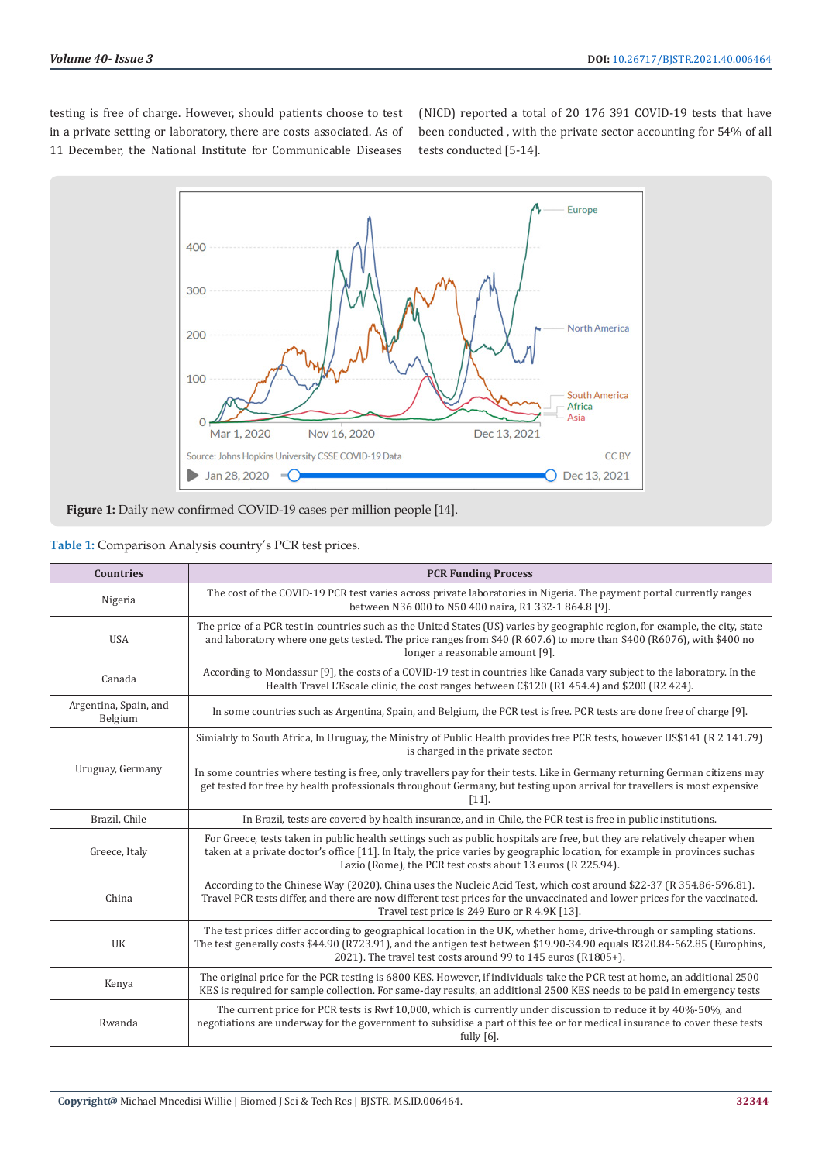testing is free of charge. However, should patients choose to test in a private setting or laboratory, there are costs associated. As of 11 December, the National Institute for Communicable Diseases

(NICD) reported a total of 20 176 391 COVID-19 tests that have been conducted , with the private sector accounting for 54% of all tests conducted [5-14].





|  |  | Table 1: Comparison Analysis country's PCR test prices. |  |  |  |  |
|--|--|---------------------------------------------------------|--|--|--|--|
|  |  |                                                         |  |  |  |  |

| <b>Countries</b>                 | <b>PCR Funding Process</b>                                                                                                                                                                                                                                                                                              |
|----------------------------------|-------------------------------------------------------------------------------------------------------------------------------------------------------------------------------------------------------------------------------------------------------------------------------------------------------------------------|
| Nigeria                          | The cost of the COVID-19 PCR test varies across private laboratories in Nigeria. The payment portal currently ranges<br>between N36 000 to N50 400 naira, R1 332-1 864.8 [9].                                                                                                                                           |
| <b>USA</b>                       | The price of a PCR test in countries such as the United States (US) varies by geographic region, for example, the city, state<br>and laboratory where one gets tested. The price ranges from \$40 (R 607.6) to more than \$400 (R6076), with \$400 no<br>longer a reasonable amount [9].                                |
| Canada                           | According to Mondassur [9], the costs of a COVID-19 test in countries like Canada vary subject to the laboratory. In the<br>Health Travel L'Escale clinic, the cost ranges between C\$120 (R1 454.4) and \$200 (R2 424).                                                                                                |
| Argentina, Spain, and<br>Belgium | In some countries such as Argentina, Spain, and Belgium, the PCR test is free. PCR tests are done free of charge [9].                                                                                                                                                                                                   |
|                                  | Simialrly to South Africa, In Uruguay, the Ministry of Public Health provides free PCR tests, however US\$141 (R 2 141.79)<br>is charged in the private sector.                                                                                                                                                         |
| Uruguay, Germany                 | In some countries where testing is free, only travellers pay for their tests. Like in Germany returning German citizens may<br>get tested for free by health professionals throughout Germany, but testing upon arrival for travellers is most expensive<br>$[11]$ .                                                    |
| Brazil, Chile                    | In Brazil, tests are covered by health insurance, and in Chile, the PCR test is free in public institutions.                                                                                                                                                                                                            |
| Greece, Italy                    | For Greece, tests taken in public health settings such as public hospitals are free, but they are relatively cheaper when<br>taken at a private doctor's office [11]. In Italy, the price varies by geographic location, for example in provinces suchas<br>Lazio (Rome), the PCR test costs about 13 euros (R 225.94). |
| China                            | According to the Chinese Way (2020), China uses the Nucleic Acid Test, which cost around \$22-37 (R 354.86-596.81).<br>Travel PCR tests differ, and there are now different test prices for the unvaccinated and lower prices for the vaccinated.<br>Travel test price is 249 Euro or R 4.9K [13].                      |
| UK                               | The test prices differ according to geographical location in the UK, whether home, drive-through or sampling stations.<br>The test generally costs \$44.90 (R723.91), and the antigen test between \$19.90-34.90 equals R320.84-562.85 (Europhins,<br>2021). The travel test costs around 99 to 145 euros (R1805+).     |
| Kenya                            | The original price for the PCR testing is 6800 KES. However, if individuals take the PCR test at home, an additional 2500<br>KES is required for sample collection. For same-day results, an additional 2500 KES needs to be paid in emergency tests                                                                    |
| Rwanda                           | The current price for PCR tests is Rwf 10,000, which is currently under discussion to reduce it by 40%-50%, and<br>negotiations are underway for the government to subsidise a part of this fee or for medical insurance to cover these tests<br>fully $[6]$ .                                                          |